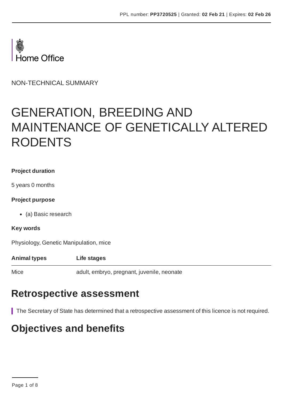

NON-TECHNICAL SUMMARY

# GENERATION, BREEDING AND MAINTENANCE OF GENETICALLY ALTERED RODENTS

#### **Project duration**

5 years 0 months

#### **Project purpose**

(a) Basic research

#### **Key words**

Physiology, Genetic Manipulation, mice

**Animal types Life stages**

Mice adult, embryo, pregnant, juvenile, neonate

### **Retrospective assessment**

The Secretary of State has determined that a retrospective assessment of this licence is not required.

### **Objectives and benefits**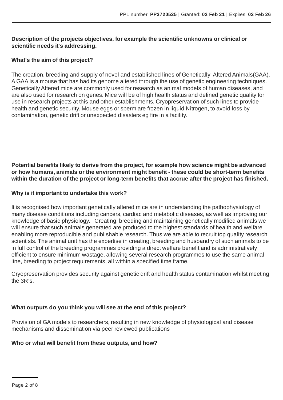#### **Description of the projects objectives, for example the scientific unknowns or clinical or scientific needs it's addressing.**

#### **What's the aim of this project?**

The creation, breeding and supply of novel and established lines of Genetically Altered Animals(GAA). A GAA is a mouse that has had its genome altered through the use of genetic engineering techniques. Genetically Altered mice are commonly used for research as animal models of human diseases, and are also used for research on genes. Mice will be of high health status and defined genetic quality for use in research projects at this and other establishments. Cryopreservation of such lines to provide health and genetic security. Mouse eggs or sperm are frozen in liquid Nitrogen, to avoid loss by contamination, genetic drift or unexpected disasters eg fire in a facility.

**Potential benefits likely to derive from the project, for example how science might be advanced or how humans, animals or the environment might benefit - these could be short-term benefits within the duration of the project or long-term benefits that accrue after the project has finished.**

#### **Why is it important to undertake this work?**

It is recognised how important genetically altered mice are in understanding the pathophysiology of many disease conditions including cancers, cardiac and metabolic diseases, as well as improving our knowledge of basic physiology. Creating, breeding and maintaining genetically modified animals we will ensure that such animals generated are produced to the highest standards of health and welfare enabling more reproducible and publishable research. Thus we are able to recruit top quality research scientists. The animal unit has the expertise in creating, breeding and husbandry of such animals to be in full control of the breeding programmes providing a direct welfare benefit and is administratively efficient to ensure minimum wastage, allowing several research programmes to use the same animal line, breeding to project requirements, all within a specified time frame.

Cryopreservation provides security against genetic drift and health status contamination whilst meeting the 3R's.

#### **What outputs do you think you will see at the end of this project?**

Provision of GA models to researchers, resulting in new knowledge of physiological and disease mechanisms and dissemination via peer reviewed publications

#### **Who or what will benefit from these outputs, and how?**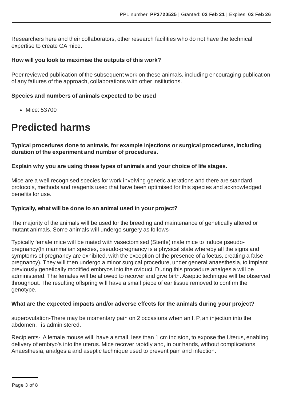Researchers here and their collaborators, other research facilities who do not have the technical expertise to create GA mice.

#### **How will you look to maximise the outputs of this work?**

Peer reviewed publication of the subsequent work on these animals, including encouraging publication of any failures of the approach, collaborations with other institutions.

#### **Species and numbers of animals expected to be used**

• Mice: 53700

### **Predicted harms**

**Typical procedures done to animals, for example injections or surgical procedures, including duration of the experiment and number of procedures.**

#### **Explain why you are using these types of animals and your choice of life stages.**

Mice are a well recognised species for work involving genetic alterations and there are standard protocols, methods and reagents used that have been optimised for this species and acknowledged benefits for use.

#### **Typically, what will be done to an animal used in your project?**

The majority of the animals will be used for the breeding and maintenance of genetically altered or mutant animals. Some animals will undergo surgery as follows-

Typically female mice will be mated with vasectomised (Sterile) male mice to induce pseudopregnancy(In mammalian species, pseudo-pregnancy is a physical state whereby all the signs and symptoms of pregnancy are exhibited, with the exception of the presence of a foetus, creating a false pregnancy). They will then undergo a minor surgical procedure, under general anaesthesia, to implant previously genetically modified embryos into the oviduct. During this procedure analgesia will be administered. The females will be allowed to recover and give birth. Aseptic technique will be observed throughout. The resulting offspring will have a small piece of ear tissue removed to confirm the genotype.

#### **What are the expected impacts and/or adverse effects for the animals during your project?**

superovulation-There may be momentary pain on 2 occasions when an I. P, an injection into the abdomen, is administered.

Recipients- A female mouse will have a small, less than 1 cm incision, to expose the Uterus, enabling delivery of embryo's into the uterus. Mice recover rapidly and, in our hands, without complications. Anaesthesia, analgesia and aseptic technique used to prevent pain and infection.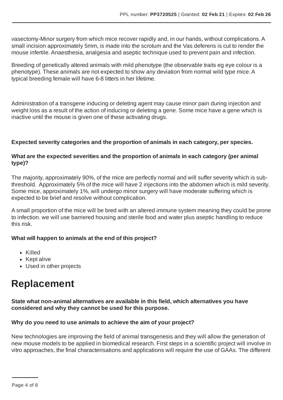vasectomy-Minor surgery from which mice recover rapidly and, in our hands, without complications.A small incision approximately 5mm, is made into the scrotum and the Vas deferens is cut to render the mouse infertile.Anaesthesia, analgesia and aseptic technique used to prevent pain and infection.

Breeding of genetically altered animals with mild phenotype (the observable traits eg eye colour is a phenotype). These animals are not expected to show any deviation from normal wild type mice.A typical breeding female will have 6-8 litters in her lifetime.

Administration of a transgene inducing or deleting agent may cause minor pain during injection and weight loss as a result of the action of inducing or deleting a gene. Some mice have a gene which is inactive until the mouse is given one of these activating drugs.

#### **Expected severity categories and the proportion of animals in each category, per species.**

#### **What are the expected severities and the proportion of animals in each category (per animal type)?**

The majority, approximately 90%, of the mice are perfectly normal and will suffer severity which is subthreshold. Approximately 5% of the mice will have 2 injections into the abdomen which is mild severity. Some mice, approximately 1%, will undergo minor surgery will have moderate suffering which is expected to be brief and resolve without complication.

A small proportion of the mice will be bred with an altered immune system meaning they could be prone to infection. we will use barriered housing and sterile food and water plus aseptic handling to reduce this risk.

#### **What will happen to animals at the end of this project?**

- Killed
- Kept alive
- Used in other projects

### **Replacement**

#### **State what non-animal alternatives are available in this field, which alternatives you have considered and why they cannot be used for this purpose.**

#### **Why do you need to use animals to achieve the aim of your project?**

New technologies are improving the field of animal transgenesis and they will allow the generation of new mouse models to be applied in biomedical research. First steps in a scientific project will involve in vitro approaches, the final characterisations and applications will require the use of GAAs. The different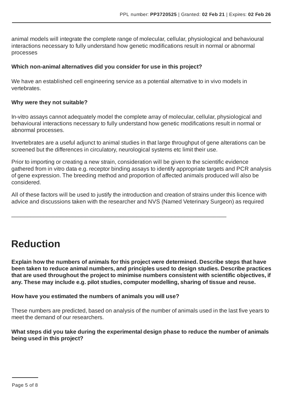animal models will integrate the complete range of molecular, cellular, physiological and behavioural interactions necessary to fully understand how genetic modifications result in normal or abnormal processes

#### **Which non-animal alternatives did you consider for use in this project?**

We have an established cell engineering service as a potential alternative to in vivo models in vertebrates.

#### **Why were they not suitable?**

In-vitro assays cannot adequately model the complete array of molecular, cellular, physiological and behavioural interactions necessary to fully understand how genetic modifications result in normal or abnormal processes.

Invertebrates are a useful adjunct to animal studies in that large throughput of gene alterations can be screened but the differences in circulatory, neurological systems etc limit their use.

Prior to importing or creating a new strain, consideration will be given to the scientific evidence gathered from in vitro data e.g. receptor binding assays to identify appropriate targets and PCR analysis of gene expression. The breeding method and proportion of affected animals produced will also be considered.

All of these factors will be used to justify the introduction and creation of strains under this licence with advice and discussions taken with the researcher and NVS (Named Veterinary Surgeon) as required

 $\mathcal{L}_\text{G} = \{ \mathcal{L}_\text{G} = \{ \mathcal{L}_\text{G} = \{ \mathcal{L}_\text{G} = \{ \mathcal{L}_\text{G} = \{ \mathcal{L}_\text{G} = \{ \mathcal{L}_\text{G} = \{ \mathcal{L}_\text{G} = \{ \mathcal{L}_\text{G} = \{ \mathcal{L}_\text{G} = \{ \mathcal{L}_\text{G} = \{ \mathcal{L}_\text{G} = \{ \mathcal{L}_\text{G} = \{ \mathcal{L}_\text{G} = \{ \mathcal{L}_\text{G} = \{ \mathcal{L}_\text{G$ 

## **Reduction**

**Explain how the numbers of animals for this project were determined. Describe steps that have been taken to reduce animal numbers, and principles used to design studies. Describe practices that are used throughout the project to minimise numbers consistent with scientific objectives, if any. These may include e.g. pilot studies, computer modelling, sharing of tissue and reuse.**

#### **How have you estimated the numbers of animals you will use?**

These numbers are predicted, based on analysis of the number of animals used in the last five years to meet the demand of our researchers.

#### **What steps did you take during the experimental design phase to reduce the number of animals being used in this project?**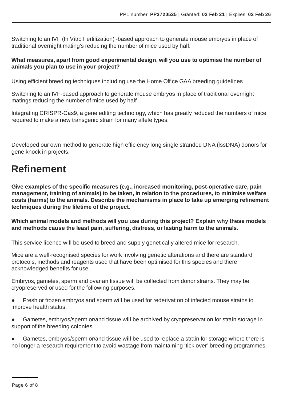Switching to an IVF (In Vitro Fertilization) -based approach to generate mouse embryos in place of traditional overnight mating's reducing the number of mice used by half.

#### **What measures, apart from good experimental design, will you use to optimise the number of animals you plan to use in your project?**

Using efficient breeding techniques including use the Home Office GAA breeding guidelines

Switching to an IVF-based approach to generate mouse embryos in place of traditional overnight matings reducing the number of mice used by half

Integrating CRISPR-Cas9, a gene editing technology, which has greatly reduced the numbers of mice required to make a new transgenic strain for many allele types.

Developed our own method to generate high efficiency long single stranded DNA (lssDNA) donors for gene knock in projects.

## **Refinement**

**Give examples of the specific measures (e.g., increased monitoring, post-operative care, pain management, training of animals) to be taken, in relation to the procedures, to minimise welfare costs (harms) to the animals. Describe the mechanisms in place to take up emerging refinement techniques during the lifetime of the project.**

**Which animal models and methods will you use during this project? Explain why these models and methods cause the least pain, suffering, distress, or lasting harm to the animals.**

This service licence will be used to breed and supply genetically altered mice for research.

Mice are a well-recognised species for work involving genetic alterations and there are standard protocols, methods and reagents used that have been optimised for this species and there acknowledged benefits for use.

Embryos, gametes, sperm and ovarian tissue will be collected from donor strains. They may be cryopreserved or used for the following purposes.

- Fresh or frozen embryos and sperm will be used for rederivation of infected mouse strains to improve health status.
- Gametes, embryos/sperm or/and tissue will be archived by cryopreservation for strain storage in support of the breeding colonies.
- Gametes, embryos/sperm or/and tissue will be used to replace a strain for storage where there is no longer a research requirement to avoid wastage from maintaining 'tick over' breeding programmes.

Page 6 of 8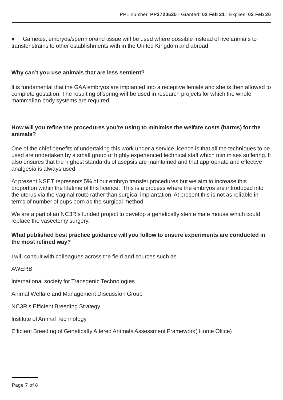Gametes, embryos/sperm or/and tissue will be used where possible instead of live animals to transfer strains to other establishments with in the United Kingdom and abroad

#### **Why can't you use animals that are less sentient?**

It is fundamental that the GAA embryos are implanted into a receptive female and she is then allowed to complete gestation. The resulting offspring will be used in research projects for which the whole mammalian body systems are required.

#### **How will you refine the procedures you're using to minimise the welfare costs (harms) for the animals?**

One of the chief benefits of undertaking this work under a service licence is that all the techniques to be used are undertaken by a small group of highly experienced technical staff which minimises suffering. It also ensures that the highest standards of asepsis are maintained and that appropriate and effective analgesia is always used.

At present NSET represents 5% of our embryo transfer procedures but we aim to increase this proportion within the lifetime of this licence. This is a process where the embryos are introduced into the uterus via the vaginal route rather than surgical implantation.At present this is not as reliable in terms of number of pups born as the surgical method.

We are a part of an NC3R's funded project to develop a genetically sterile male mouse which could replace the vasectomy surgery.

#### **What published best practice guidance will you follow to ensure experiments are conducted in the most refined way?**

I will consult with colleagues across the field and sources such as

#### AWERB

International society for Transgenic Technologies

Animal Welfare and Management Discussion Group

NC3R's Efficient Breeding Strategy

Institute ofAnimal Technology

Efficient Breeding of Genetically Altered Animals Assessment Framework( Home Office)